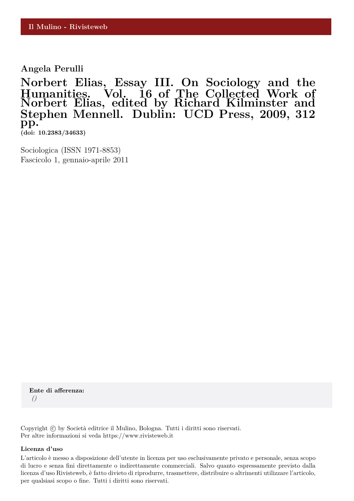**Angela Perulli**

**Norbert Elias, Essay III. On Sociology and the Humanities. Vol. 16 of The Collected Work of Norbert Elias, edited by Richard Kilminster and Stephen Mennell. Dublin: UCD Press, 2009, 312 pp. (doi: 10.2383/34633)**

Sociologica (ISSN 1971-8853) Fascicolo 1, gennaio-aprile 2011

**Ente di afferenza:** *()*

Copyright © by Società editrice il Mulino, Bologna. Tutti i diritti sono riservati. Per altre informazioni si veda https://www.rivisteweb.it

#### **Licenza d'uso**

L'articolo è messo a disposizione dell'utente in licenza per uso esclusivamente privato e personale, senza scopo di lucro e senza fini direttamente o indirettamente commerciali. Salvo quanto espressamente previsto dalla licenza d'uso Rivisteweb, è fatto divieto di riprodurre, trasmettere, distribuire o altrimenti utilizzare l'articolo, per qualsiasi scopo o fine. Tutti i diritti sono riservati.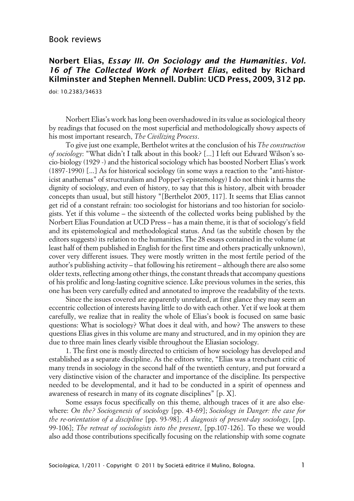### Book reviews

# **Norbert Elias, Essay III. On Sociology and the Humanities. Vol. 16 of The Collected Work of Norbert Elias, edited by Richard Kilminster and Stephen Mennell. Dublin: UCD Press, 2009, 312 pp.**

doi: 10.2383/34633

Norbert Elias's work has long been overshadowed in its value as sociological theory by readings that focused on the most superficial and methodologically showy aspects of his most important research, *The Civilizing Process*.

To give just one example, Berthelot writes at the conclusion of his *The construction of sociology*: "What didn't I talk about in this book? [...] I left out Edward Wilson's socio-biology (1929 -) and the historical sociology which has boosted Norbert Elias's work (1897-1990) [...] As for historical sociology (in some ways a reaction to the "anti-historicist anathemas" of structuralism and Popper's epistemology) I do not think it harms the dignity of sociology, and even of history, to say that this is history, albeit with broader concepts than usual, but still history "[Berthelot 2005, 117]. It seems that Elias cannot get rid of a constant refrain: too sociologist for historians and too historian for sociologists. Yet if this volume – the sixteenth of the collected works being published by the Norbert Elias Foundation at UCD Press – has a main theme, it is that of sociology's field and its epistemological and methodological status. And (as the subtitle chosen by the editors suggests) its relation to the humanities. The 28 essays contained in the volume (at least half of them published in English for the first time and others practically unknown), cover very different issues. They were mostly written in the most fertile period of the author's publishing activity – that following his retirement – although there are also some older texts, reflecting among other things, the constant threads that accompany questions of his prolific and long-lasting cognitive science. Like previous volumes in the series, this one has been very carefully edited and annotated to improve the readability of the texts.

Since the issues covered are apparently unrelated, at first glance they may seem an eccentric collection of interests having little to do with each other. Yet if we look at them carefully, we realize that in reality the whole of Elias's book is focused on same basic questions: What is sociology? What does it deal with, and how? The answers to these questions Elias gives in this volume are many and structured, and in my opinion they are due to three main lines clearly visible throughout the Eliasian sociology.

1. The first one is mostly directed to criticism of how sociology has developed and established as a separate discipline. As the editors write, "Elias was a trenchant critic of many trends in sociology in the second half of the twentieth century, and put forward a very distinctive vision of the character and importance of the discipline. Its perspective needed to be developmental, and it had to be conducted in a spirit of openness and awareness of research in many of its cognate disciplines" [p. X].

Some essays focus specifically on this theme, although traces of it are also elsewhere: *On the? Sociogenesis of sociology* [pp. 43-69]; *Sociology in Danger: the case for the re-orientation of a discipline* [pp. 93-98]; *A diagnosis of present-day sociology*, [pp. 99-106]; *The retreat of sociologists into the present*, [pp.107-126]. To these we would also add those contributions specifically focusing on the relationship with some cognate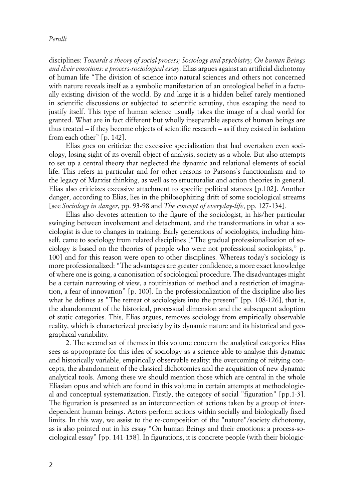#### *Perulli*

disciplines: *Towards a theory of social process; Sociology and psychiatry; On human Beings and their emotions: a process-sociological essay.* Elias argues against an artificial dichotomy of human life "The division of science into natural sciences and others not concerned with nature reveals itself as a symbolic manifestation of an ontological belief in a factually existing division of the world. By and large it is a hidden belief rarely mentioned in scientific discussions or subjected to scientific scrutiny, thus escaping the need to justify itself. This type of human science usually takes the image of a dual world for granted. What are in fact different but wholly inseparable aspects of human beings are thus treated – if they become objects of scientific research – as if they existed in isolation from each other" [p. 142].

Elias goes on criticize the excessive specialization that had overtaken even sociology, losing sight of its overall object of analysis, society as a whole. But also attempts to set up a central theory that neglected the dynamic and relational elements of social life. This refers in particular and for other reasons to Parsons's functionalism and to the legacy of Marxist thinking, as well as to structuralist and action theories in general. Elias also criticizes excessive attachment to specific political stances [p.102]. Another danger, according to Elias, lies in the philosophizing drift of some sociological streams [see *Sociology in danger*, pp. 93-98 and *The concept of everyday-life*, pp. 127-134].

Elias also devotes attention to the figure of the sociologist, in his/her particular swinging between involvement and detachment, and the transformations in what a sociologist is due to changes in training. Early generations of sociologists, including himself, came to sociology from related disciplines ["The gradual professionalization of sociology is based on the theories of people who were not professional sociologists," p. 100] and for this reason were open to other disciplines. Whereas today's sociology is more professionalized: "The advantages are greater confidence, a more exact knowledge of where one is going, a canonisation of sociological procedure. The disadvantages might be a certain narrowing of view, a routinisation of method and a restriction of imagination, a fear of innovation" [p. 100]. In the professionalization of the discipline also lies what he defines as "The retreat of sociologists into the present" [pp. 108-126], that is, the abandonment of the historical, processual dimension and the subsequent adoption of static categories. This, Elias argues, removes sociology from empirically observable reality, which is characterized precisely by its dynamic nature and its historical and geographical variability.

2. The second set of themes in this volume concern the analytical categories Elias sees as appropriate for this idea of sociology as a science able to analyse this dynamic and historically variable, empirically observable reality: the overcoming of reifying concepts, the abandonment of the classical dichotomies and the acquisition of new dynamic analytical tools. Among these we should mention those which are central in the whole Eliasian opus and which are found in this volume in certain attempts at methodological and conceptual systematization. Firstly, the category of social "figuration" [pp.1-3]. The figuration is presented as an interconnection of actions taken by a group of interdependent human beings. Actors perform actions within socially and biologically fixed limits. In this way, we assist to the re-composition of the "nature"/society dichotomy, as is also pointed out in his essay "On human Beings and their emotions: a process-sociological essay" [pp. 141-158]. In figurations, it is concrete people (with their biologic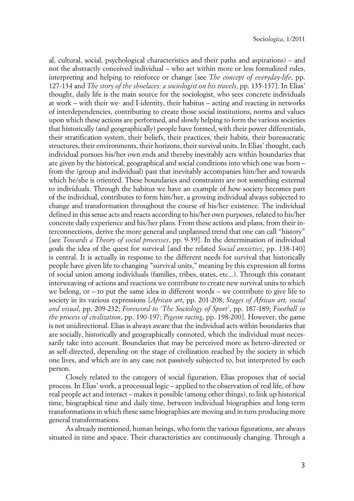al, cultural, social, psychological characteristics and their paths and aspirations) – and not the abstractly conceived individual – who act within more or less formalized rules, interpreting and helping to reinforce or change [see *The concept of everyday-life*, pp. 127-134 and *The story of the shoelaces: a sociologist on his travels*, pp. 135-137]. In Elias' thought, daily life is the main source for the sociologist, who sees concrete individuals at work – with their we- and I-identity, their habitus – acting and reacting in networks of interdependencies, contributing to create those social institutions, norms and values upon which these actions are performed, and slowly helping to form the various societies that historically (and geographically) people have formed, with their power differentials, their stratification system, their beliefs, their practices, their habits, their bureaucratic structures, their environments, their horizons, their survival units. In Elias' thought, each individual pursues his/her own ends and thereby inevitably acts within boundaries that are given by the historical, geographical and social conditions into which one was born – from the (group and individual) past that inevitably accompanies him/her and towards which he/she is oriented. These boundaries and constraints are not something external to individuals. Through the habitus we have an example of how society becomes part of the individual, contributes to form him/her, a growing individual always subjected to change and transformation throughout the course of his/her existence. The individual defined in this sense acts and reacts according to his/her own purposes, related to his/her concrete daily experience and his/her plans. From these actions and plans, from their interconnections, derive the more general and unplanned trend that one can call "history" [see *Towards a Theory of social processes*, pp. 9-39]. In the determination of individual goals the idea of the quest for survival [and the related *Social anxieties*, pp. 138-140] is central. It is actually in response to the different needs for survival that historically people have given life to changing "survival units," meaning by this expression all forms of social union among individuals (families, tribes, states, etc...). Through this constant interweaving of actions and reactions we contribute to create new survival units to which we belong, or – to put the same idea in different words – we contribute to give life to society in its various expressions [*African art*, pp. 201-208; *Stages of African art, social and visual*, pp. 209-232; *Foreword to 'The Sociology of Sport'*, pp. 187-189; *Football in the process of civilization*, pp. 190-197; *Pigeon racing*, pp. 198-200]. However, the game is not unidirectional. Elias is always aware that the individual acts within boundaries that are socially, historically and geographically connoted, which the individual must necessarily take into account. Boundaries that may be perceived more as hetero-directed or as self-directed, depending on the stage of civilization reached by the society in which one lives, and which are in any case not passively subjected to, but interpreted by each person.

Closely related to the category of social figuration, Elias proposes that of social process. In Elias' work, a processual logic – applied to the observation of real life, of how real people act and interact – makes it possible (among other things), to link up historical time, biographical time and daily time, between individual biographies and long-term transformations in which these same biographies are moving and in turn producing more general transformations.

As already mentioned, human beings, who form the various figurations, are always situated in time and space. Their characteristics are continuously changing. Through a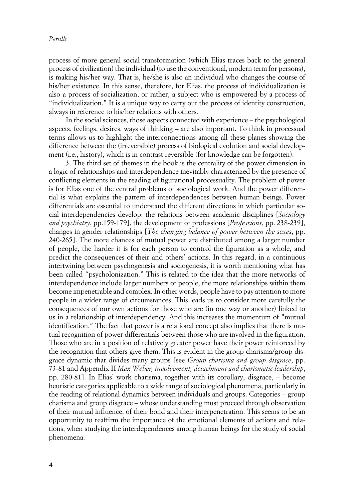process of more general social transformation (which Elias traces back to the general process of civilization) the individual (to use the conventional, modern term for persons), is making his/her way. That is, he/she is also an individual who changes the course of his/her existence. In this sense, therefore, for Elias, the process of individualization is also a process of socialization, or rather, a subject who is empowered by a process of "individualization." It is a unique way to carry out the process of identity construction, always in reference to his/her relations with others.

In the social sciences, those aspects connected with experience – the psychological aspects, feelings, desires, ways of thinking – are also important. To think in processual terms allows us to highlight the interconnections among all these planes showing the difference between the (irreversible) process of biological evolution and social development (i.e., history), which is in contrast reversible (for knowledge can be forgotten).

3. The third set of themes in the book is the centrality of the power dimension in a logic of relationships and interdependence inevitably characterized by the presence of conflicting elements in the reading of figurational processuality. The problem of power is for Elias one of the central problems of sociological work. And the power differential is what explains the pattern of interdependences between human beings. Power differentials are essential to understand the different directions in which particular social interdependencies develop: the relations between academic disciplines [*Sociology and psychiatry*, pp.159-179], the development of professions [*Professions*, pp. 238-239], changes in gender relationships [*The changing balance of power between the sexes*, pp. 240-265]. The more chances of mutual power are distributed among a larger number of people, the harder it is for each person to control the figuration as a whole, and predict the consequences of their and others' actions. In this regard, in a continuous intertwining between psychogenesis and sociogenesis, it is worth mentioning what has been called "psycholonization." This is related to the idea that the more networks of interdependence include larger numbers of people, the more relationships within them become impenetrable and complex. In other words, people have to pay attention to more people in a wider range of circumstances. This leads us to consider more carefully the consequences of our own actions for those who are (in one way or another) linked to us in a relationship of interdependency. And this increases the momentum of "mutual identification." The fact that power is a relational concept also implies that there is mutual recognition of power differentials between those who are involved in the figuration. Those who are in a position of relatively greater power have their power reinforced by the recognition that others give them. This is evident in the group charisma/group disgrace dynamic that divides many groups [see *Group charisma and group disgrace*, pp. 73-81 and Appendix II *Max Weber, involvement, detachment and charismatic leadership*, pp. 280-81]. In Elias' work charisma, together with its corollary, disgrace, – become heuristic categories applicable to a wide range of sociological phenomena, particularly in the reading of relational dynamics between individuals and groups. Categories – group charisma and group disgrace – whose understanding must proceed through observation of their mutual influence, of their bond and their interpenetration. This seems to be an opportunity to reaffirm the importance of the emotional elements of actions and relations, when studying the interdependences among human beings for the study of social phenomena.